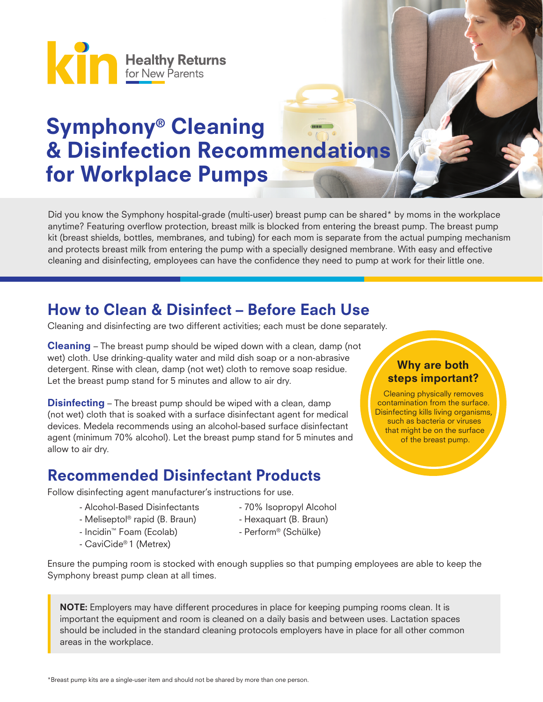

# Symphony® Cleaning & Disinfection Recommendations for Workplace Pumps

Did you know the Symphony hospital-grade (multi-user) breast pump can be shared\* by moms in the workplace anytime? Featuring overflow protection, breast milk is blocked from entering the breast pump. The breast pump kit (breast shields, bottles, membranes, and tubing) for each mom is separate from the actual pumping mechanism and protects breast milk from entering the pump with a specially designed membrane. With easy and effective cleaning and disinfecting, employees can have the confidence they need to pump at work for their little one.

### How to Clean & Disinfect – Before Each Use

Cleaning and disinfecting are two different activities; each must be done separately.

**Cleaning** – The breast pump should be wiped down with a clean, damp (not wet) cloth. Use drinking-quality water and mild dish soap or a non-abrasive detergent. Rinse with clean, damp (not wet) cloth to remove soap residue. Let the breast pump stand for 5 minutes and allow to air dry.

**Disinfecting** – The breast pump should be wiped with a clean, damp (not wet) cloth that is soaked with a surface disinfectant agent for medical devices. Medela recommends using an alcohol-based surface disinfectant agent (minimum 70% alcohol). Let the breast pump stand for 5 minutes and allow to air dry.

### Recommended Disinfectant Products

Follow disinfecting agent manufacturer's instructions for use.

- Alcohol-Based Disinfectants 70% Isopropyl Alcohol
- Meliseptol<sup>®</sup> rapid (B. Braun) Hexaquart (B. Braun)
- Incidin™ Foam (Ecolab) Perform® (Schülke)
- CaviCide® 1 (Metrex)
- 
- 
- 

#### Ensure the pumping room is stocked with enough supplies so that pumping employees are able to keep the Symphony breast pump clean at all times.

NOTE: Employers may have different procedures in place for keeping pumping rooms clean. It is important the equipment and room is cleaned on a daily basis and between uses. Lactation spaces should be included in the standard cleaning protocols employers have in place for all other common areas in the workplace.

### Why are both steps important?

Cleaning physically removes contamination from the surface. Disinfecting kills living organisms, such as bacteria or viruses that might be on the surface of the breast pump.